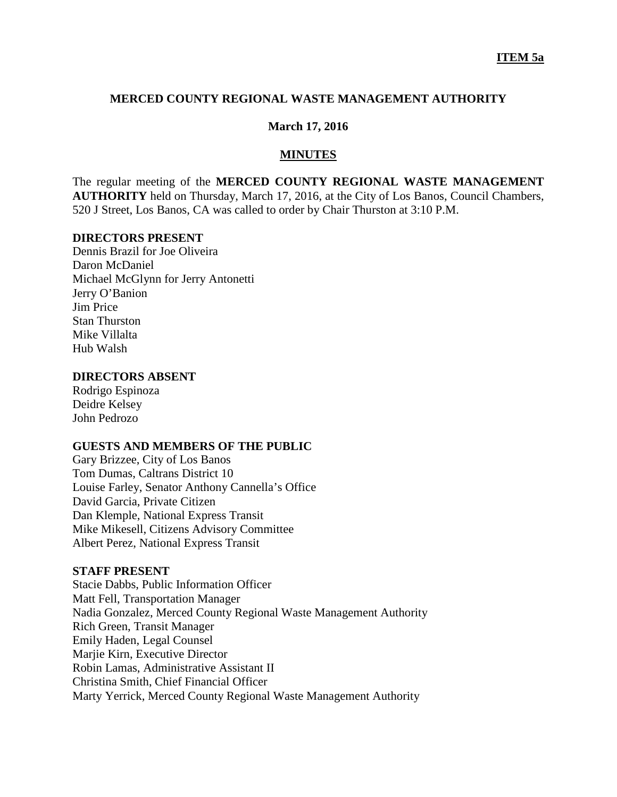## **MERCED COUNTY REGIONAL WASTE MANAGEMENT AUTHORITY**

#### **March 17, 2016**

#### **MINUTES**

The regular meeting of the **MERCED COUNTY REGIONAL WASTE MANAGEMENT AUTHORITY** held on Thursday, March 17, 2016, at the City of Los Banos, Council Chambers, 520 J Street, Los Banos, CA was called to order by Chair Thurston at 3:10 P.M.

#### **DIRECTORS PRESENT**

Dennis Brazil for Joe Oliveira Daron McDaniel Michael McGlynn for Jerry Antonetti Jerry O'Banion Jim Price Stan Thurston Mike Villalta Hub Walsh

### **DIRECTORS ABSENT**

Rodrigo Espinoza Deidre Kelsey John Pedrozo

## **GUESTS AND MEMBERS OF THE PUBLIC**

Gary Brizzee, City of Los Banos Tom Dumas, Caltrans District 10 Louise Farley, Senator Anthony Cannella's Office David Garcia, Private Citizen Dan Klemple, National Express Transit Mike Mikesell, Citizens Advisory Committee Albert Perez, National Express Transit

#### **STAFF PRESENT**

Stacie Dabbs, Public Information Officer Matt Fell, Transportation Manager Nadia Gonzalez, Merced County Regional Waste Management Authority Rich Green, Transit Manager Emily Haden, Legal Counsel Marjie Kirn, Executive Director Robin Lamas, Administrative Assistant II Christina Smith, Chief Financial Officer Marty Yerrick, Merced County Regional Waste Management Authority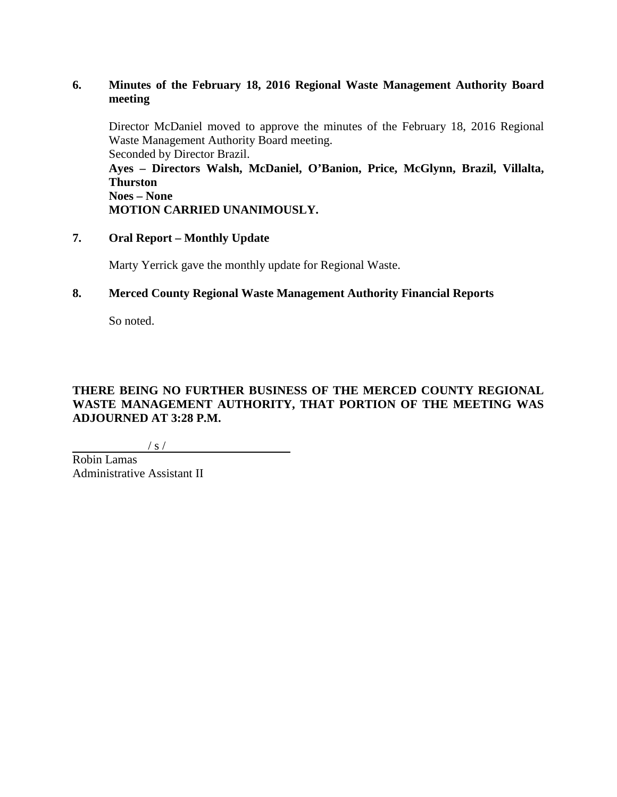# **6. Minutes of the February 18, 2016 Regional Waste Management Authority Board meeting**

Director McDaniel moved to approve the minutes of the February 18, 2016 Regional Waste Management Authority Board meeting. Seconded by Director Brazil.

**Ayes – Directors Walsh, McDaniel, O'Banion, Price, McGlynn, Brazil, Villalta, Thurston Noes – None**

**MOTION CARRIED UNANIMOUSLY.**

**7. Oral Report – Monthly Update**

Marty Yerrick gave the monthly update for Regional Waste.

<u> 1990 - Johann Barbara, martxa eta politikar</u>

## **8. Merced County Regional Waste Management Authority Financial Reports**

So noted.

# **THERE BEING NO FURTHER BUSINESS OF THE MERCED COUNTY REGIONAL WASTE MANAGEMENT AUTHORITY, THAT PORTION OF THE MEETING WAS ADJOURNED AT 3:28 P.M.**

 $/ s /$ 

Robin Lamas Administrative Assistant II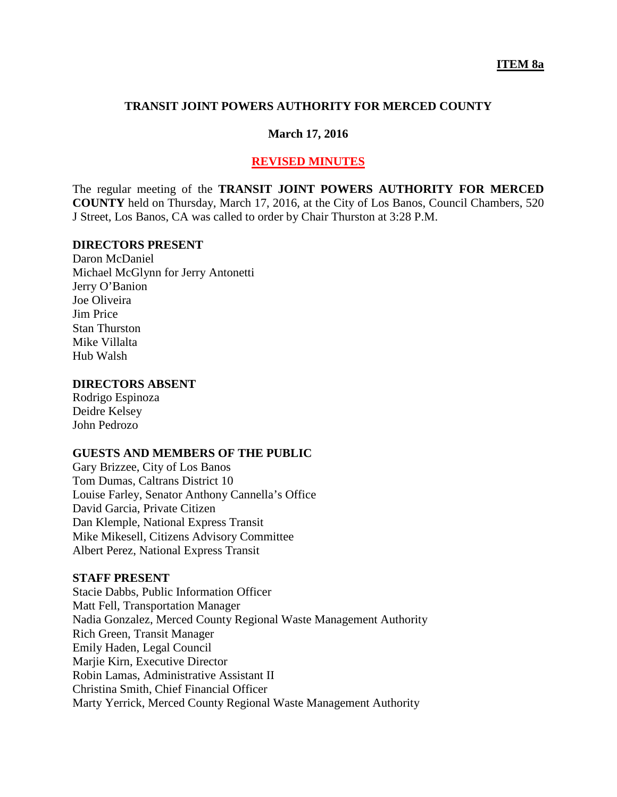### **TRANSIT JOINT POWERS AUTHORITY FOR MERCED COUNTY**

#### **March 17, 2016**

### **REVISED MINUTES**

The regular meeting of the **TRANSIT JOINT POWERS AUTHORITY FOR MERCED COUNTY** held on Thursday, March 17, 2016, at the City of Los Banos, Council Chambers, 520 J Street, Los Banos, CA was called to order by Chair Thurston at 3:28 P.M.

### **DIRECTORS PRESENT**

Daron McDaniel Michael McGlynn for Jerry Antonetti Jerry O'Banion Joe Oliveira Jim Price Stan Thurston Mike Villalta Hub Walsh

### **DIRECTORS ABSENT**

Rodrigo Espinoza Deidre Kelsey John Pedrozo

#### **GUESTS AND MEMBERS OF THE PUBLIC**

Gary Brizzee, City of Los Banos Tom Dumas, Caltrans District 10 Louise Farley, Senator Anthony Cannella's Office David Garcia, Private Citizen Dan Klemple, National Express Transit Mike Mikesell, Citizens Advisory Committee Albert Perez, National Express Transit

#### **STAFF PRESENT**

Stacie Dabbs, Public Information Officer Matt Fell, Transportation Manager Nadia Gonzalez, Merced County Regional Waste Management Authority Rich Green, Transit Manager Emily Haden, Legal Council Marjie Kirn, Executive Director Robin Lamas, Administrative Assistant II Christina Smith, Chief Financial Officer Marty Yerrick, Merced County Regional Waste Management Authority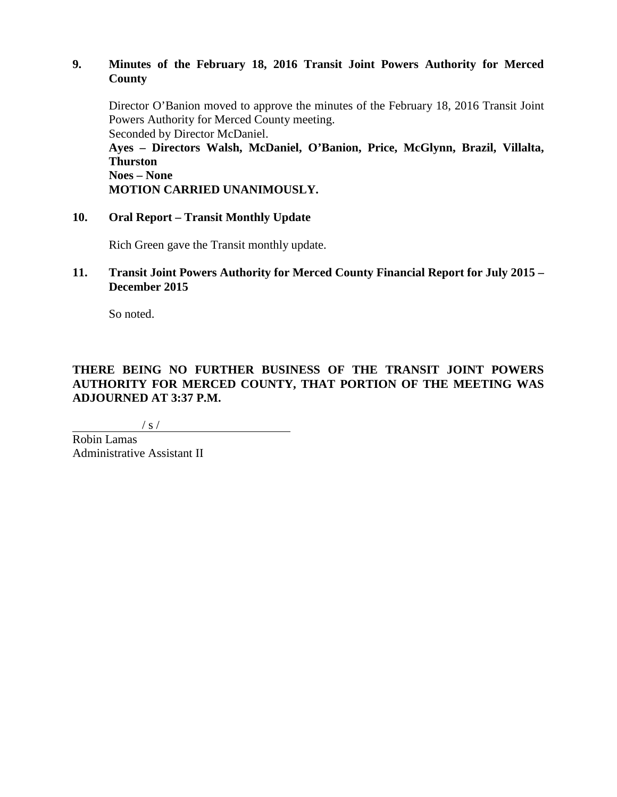## **9. Minutes of the February 18, 2016 Transit Joint Powers Authority for Merced County**

Director O'Banion moved to approve the minutes of the February 18, 2016 Transit Joint Powers Authority for Merced County meeting. Seconded by Director McDaniel.

**Ayes – Directors Walsh, McDaniel, O'Banion, Price, McGlynn, Brazil, Villalta, Thurston**

**Noes – None MOTION CARRIED UNANIMOUSLY.**

# **10. Oral Report – Transit Monthly Update**

Rich Green gave the Transit monthly update.

## **11. Transit Joint Powers Authority for Merced County Financial Report for July 2015 – December 2015**

So noted.

# **THERE BEING NO FURTHER BUSINESS OF THE TRANSIT JOINT POWERS AUTHORITY FOR MERCED COUNTY, THAT PORTION OF THE MEETING WAS ADJOURNED AT 3:37 P.M.**

 $/ s /$ 

Robin Lamas Administrative Assistant II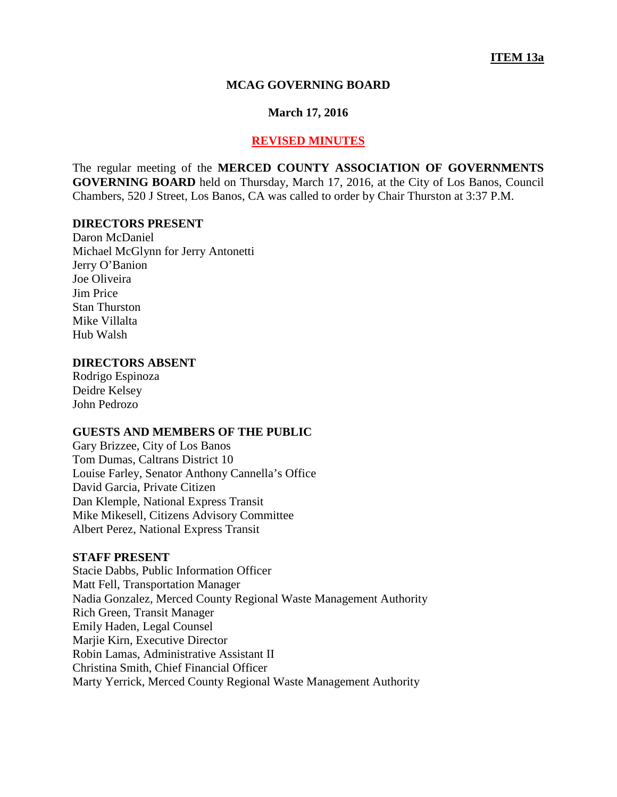#### **MCAG GOVERNING BOARD**

#### **March 17, 2016**

#### **REVISED MINUTES**

The regular meeting of the **MERCED COUNTY ASSOCIATION OF GOVERNMENTS GOVERNING BOARD** held on Thursday, March 17, 2016, at the City of Los Banos, Council Chambers, 520 J Street, Los Banos, CA was called to order by Chair Thurston at 3:37 P.M.

### **DIRECTORS PRESENT**

Daron McDaniel Michael McGlynn for Jerry Antonetti Jerry O'Banion Joe Oliveira Jim Price Stan Thurston Mike Villalta Hub Walsh

#### **DIRECTORS ABSENT**

Rodrigo Espinoza Deidre Kelsey John Pedrozo

### **GUESTS AND MEMBERS OF THE PUBLIC**

Gary Brizzee, City of Los Banos Tom Dumas, Caltrans District 10 Louise Farley, Senator Anthony Cannella's Office David Garcia, Private Citizen Dan Klemple, National Express Transit Mike Mikesell, Citizens Advisory Committee Albert Perez, National Express Transit

#### **STAFF PRESENT**

Stacie Dabbs, Public Information Officer Matt Fell, Transportation Manager Nadia Gonzalez, Merced County Regional Waste Management Authority Rich Green, Transit Manager Emily Haden, Legal Counsel Marjie Kirn, Executive Director Robin Lamas, Administrative Assistant II Christina Smith, Chief Financial Officer Marty Yerrick, Merced County Regional Waste Management Authority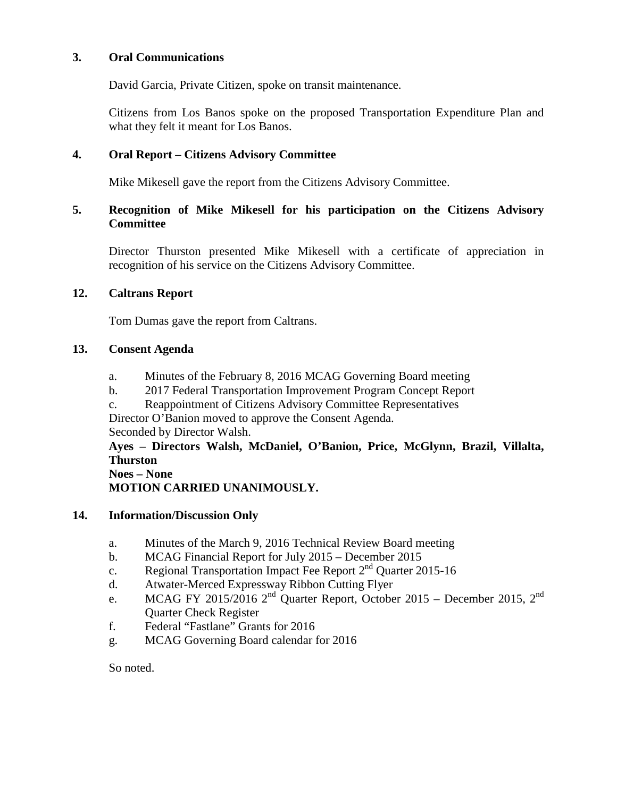## **3. Oral Communications**

David Garcia, Private Citizen, spoke on transit maintenance.

Citizens from Los Banos spoke on the proposed Transportation Expenditure Plan and what they felt it meant for Los Banos.

## **4. Oral Report – Citizens Advisory Committee**

Mike Mikesell gave the report from the Citizens Advisory Committee.

## **5. Recognition of Mike Mikesell for his participation on the Citizens Advisory Committee**

Director Thurston presented Mike Mikesell with a certificate of appreciation in recognition of his service on the Citizens Advisory Committee.

## **12. Caltrans Report**

Tom Dumas gave the report from Caltrans.

## **13. Consent Agenda**

- a. Minutes of the February 8, 2016 MCAG Governing Board meeting
- b. 2017 Federal Transportation Improvement Program Concept Report
- c. Reappointment of Citizens Advisory Committee Representatives

Director O'Banion moved to approve the Consent Agenda. Seconded by Director Walsh.

# **Ayes – Directors Walsh, McDaniel, O'Banion, Price, McGlynn, Brazil, Villalta, Thurston**

#### **Noes – None**

**MOTION CARRIED UNANIMOUSLY.**

## **14. Information/Discussion Only**

- a. Minutes of the March 9, 2016 Technical Review Board meeting
- b. MCAG Financial Report for July 2015 December 2015
- c. Regional Transportation Impact Fee Report  $2<sup>nd</sup>$  Quarter 2015-16
- d. Atwater-Merced Expressway Ribbon Cutting Flyer
- e. MCAG FY 2015/2016  $2<sup>nd</sup>$  Quarter Report, October 2015 December 2015,  $2<sup>nd</sup>$ Quarter Check Register
- f. Federal "Fastlane" Grants for 2016
- g. MCAG Governing Board calendar for 2016

So noted.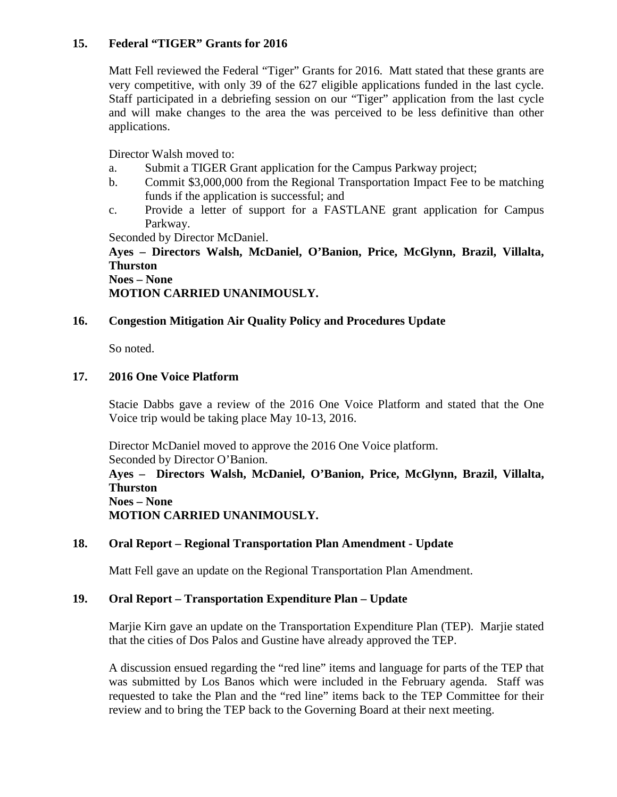## **15. Federal "TIGER" Grants for 2016**

Matt Fell reviewed the Federal "Tiger" Grants for 2016. Matt stated that these grants are very competitive, with only 39 of the 627 eligible applications funded in the last cycle. Staff participated in a debriefing session on our "Tiger" application from the last cycle and will make changes to the area the was perceived to be less definitive than other applications.

Director Walsh moved to:

- a. Submit a TIGER Grant application for the Campus Parkway project;
- b. Commit \$3,000,000 from the Regional Transportation Impact Fee to be matching funds if the application is successful; and
- c. Provide a letter of support for a FASTLANE grant application for Campus Parkway.

Seconded by Director McDaniel.

**Ayes – Directors Walsh, McDaniel, O'Banion, Price, McGlynn, Brazil, Villalta, Thurston Noes – None**

**MOTION CARRIED UNANIMOUSLY.**

# **16. Congestion Mitigation Air Quality Policy and Procedures Update**

So noted.

## **17. 2016 One Voice Platform**

Stacie Dabbs gave a review of the 2016 One Voice Platform and stated that the One Voice trip would be taking place May 10-13, 2016.

Director McDaniel moved to approve the 2016 One Voice platform. Seconded by Director O'Banion. **Ayes – Directors Walsh, McDaniel, O'Banion, Price, McGlynn, Brazil, Villalta, Thurston Noes – None MOTION CARRIED UNANIMOUSLY.**

# **18. Oral Report – Regional Transportation Plan Amendment - Update**

Matt Fell gave an update on the Regional Transportation Plan Amendment.

## **19. Oral Report – Transportation Expenditure Plan – Update**

Marjie Kirn gave an update on the Transportation Expenditure Plan (TEP). Marjie stated that the cities of Dos Palos and Gustine have already approved the TEP.

A discussion ensued regarding the "red line" items and language for parts of the TEP that was submitted by Los Banos which were included in the February agenda. Staff was requested to take the Plan and the "red line" items back to the TEP Committee for their review and to bring the TEP back to the Governing Board at their next meeting.